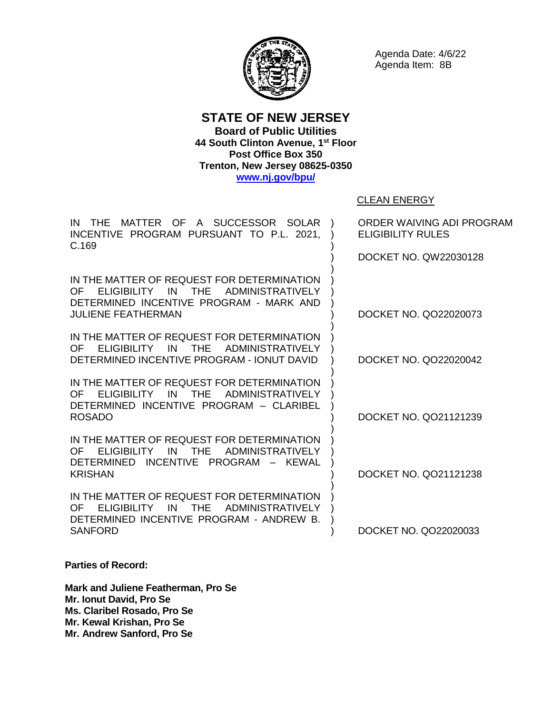

Agenda Date: 4/6/22 Agenda Item: 8B

**STATE OF NEW JERSEY Board of Public Utilities 44 South Clinton Avenue, 1 st Floor Post Office Box 350 Trenton, New Jersey 08625-0350 [www.nj.gov/bpu/](http://www.nj.gov/bpu/)**

CLEAN ENERGY

IN THE MATTER OF A SUCCESSOR SOLAR ) INCENTIVE PROGRAM PURSUANT TO P.L. 2021, C.169 IN THE MATTER OF REQUEST FOR DETERMINATION OF ELIGIBILITY IN THE ADMINISTRATIVELY DETERMINED INCENTIVE PROGRAM - MARK AND JULIENE FEATHERMAN IN THE MATTER OF REQUEST FOR DETERMINATION OF ELIGIBILITY IN THE ADMINISTRATIVELY DETERMINED INCENTIVE PROGRAM - IONUT DAVID IN THE MATTER OF REQUEST FOR DETERMINATION OF ELIGIBILITY IN THE ADMINISTRATIVELY DETERMINED INCENTIVE PROGRAM – CLARIBEL ROSADO IN THE MATTER OF REQUEST FOR DETERMINATION OF ELIGIBILITY IN THE ADMINISTRATIVELY DETERMINED INCENTIVE PROGRAM – KEWAL KRISHAN IN THE MATTER OF REQUEST FOR DETERMINATION OF ELIGIBILITY IN THE ADMINISTRATIVELY DETERMINED INCENTIVE PROGRAM - ANDREW B. SANFORD ) ) ) ) ) ) ) ) ) ) ) ) ) ) ) ) ) ) ) ) ) ) ) ) ) ) ) ORDER WAIVING ADI PROGRAM ELIGIBILITY RULES DOCKET NO. QW22030128 DOCKET NO. QO22020073 DOCKET NO. QO22020042 DOCKET NO. QO21121239 DOCKET NO. QO21121238 DOCKET NO. QO22020033

**Parties of Record:**

**Mark and Juliene Featherman, Pro Se Mr. Ionut David, Pro Se Ms. Claribel Rosado, Pro Se Mr. Kewal Krishan, Pro Se Mr. Andrew Sanford, Pro Se**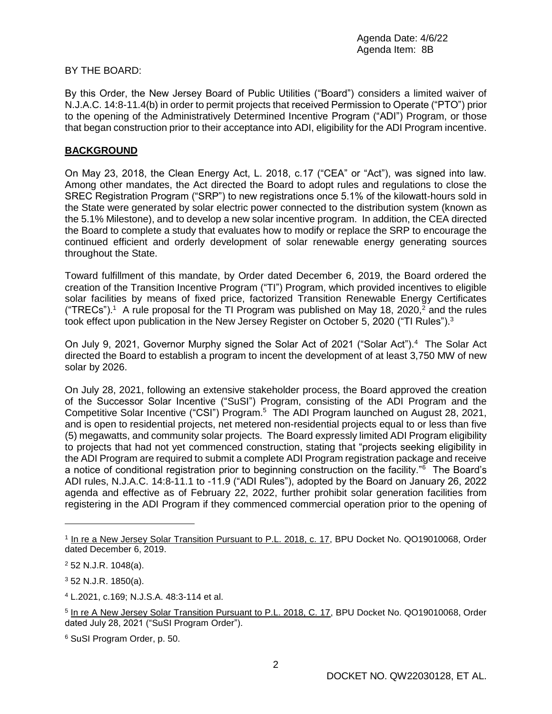## BY THE BOARD:

By this Order, the New Jersey Board of Public Utilities ("Board") considers a limited waiver of N.J.A.C. 14:8-11.4(b) in order to permit projects that received Permission to Operate ("PTO") prior to the opening of the Administratively Determined Incentive Program ("ADI") Program, or those that began construction prior to their acceptance into ADI, eligibility for the ADI Program incentive.

## **BACKGROUND**

On May 23, 2018, the Clean Energy Act, L. 2018, c.17 ("CEA" or "Act"), was signed into law. Among other mandates, the Act directed the Board to adopt rules and regulations to close the SREC Registration Program ("SRP") to new registrations once 5.1% of the kilowatt-hours sold in the State were generated by solar electric power connected to the distribution system (known as the 5.1% Milestone), and to develop a new solar incentive program. In addition, the CEA directed the Board to complete a study that evaluates how to modify or replace the SRP to encourage the continued efficient and orderly development of solar renewable energy generating sources throughout the State.

Toward fulfillment of this mandate, by Order dated December 6, 2019, the Board ordered the creation of the Transition Incentive Program ("TI") Program, which provided incentives to eligible solar facilities by means of fixed price, factorized Transition Renewable Energy Certificates ("TRECs").<sup>1</sup> A rule proposal for the TI Program was published on May 18, 2020,<sup>2</sup> and the rules took effect upon publication in the New Jersey Register on October 5, 2020 ("TI Rules").<sup>3</sup>

On July 9, 2021, Governor Murphy signed the Solar Act of 2021 ("Solar Act").<sup>4</sup> The Solar Act directed the Board to establish a program to incent the development of at least 3,750 MW of new solar by 2026.

On July 28, 2021, following an extensive stakeholder process, the Board approved the creation of the Successor Solar Incentive ("SuSI") Program, consisting of the ADI Program and the Competitive Solar Incentive ("CSI") Program.<sup>5</sup> The ADI Program launched on August 28, 2021, and is open to residential projects, net metered non-residential projects equal to or less than five (5) megawatts, and community solar projects. The Board expressly limited ADI Program eligibility to projects that had not yet commenced construction, stating that "projects seeking eligibility in the ADI Program are required to submit a complete ADI Program registration package and receive a notice of conditional registration prior to beginning construction on the facility."<sup>6</sup> The Board's ADI rules, N.J.A.C. 14:8-11.1 to -11.9 ("ADI Rules"), adopted by the Board on January 26, 2022 agenda and effective as of February 22, 2022, further prohibit solar generation facilities from registering in the ADI Program if they commenced commercial operation prior to the opening of

<sup>&</sup>lt;sup>1</sup> In re a New Jersey Solar Transition Pursuant to P.L. 2018, c. 17, BPU Docket No. QO19010068, Order dated December 6, 2019.

<sup>2</sup> 52 N.J.R. 1048(a).

<sup>3</sup> 52 N.J.R. 1850(a).

<sup>4</sup> L.2021, c.169; N.J.S.A. 48:3-114 et al.

<sup>&</sup>lt;sup>5</sup> In re A New Jersey Solar Transition Pursuant to P.L. 2018, C. 17, BPU Docket No. QO19010068, Order dated July 28, 2021 ("SuSI Program Order").

<sup>6</sup> SuSI Program Order, p. 50.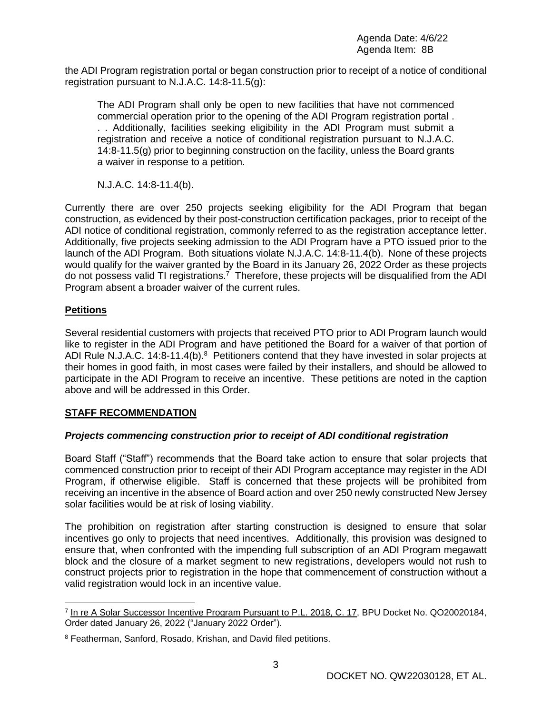the ADI Program registration portal or began construction prior to receipt of a notice of conditional registration pursuant to N.J.A.C. 14:8-11.5(g):

The ADI Program shall only be open to new facilities that have not commenced commercial operation prior to the opening of the ADI Program registration portal . . . Additionally, facilities seeking eligibility in the ADI Program must submit a registration and receive a notice of conditional registration pursuant to N.J.A.C. 14:8-11.5(g) prior to beginning construction on the facility, unless the Board grants a waiver in response to a petition.

N.J.A.C. 14:8-11.4(b).

Currently there are over 250 projects seeking eligibility for the ADI Program that began construction, as evidenced by their post-construction certification packages, prior to receipt of the ADI notice of conditional registration, commonly referred to as the registration acceptance letter. Additionally, five projects seeking admission to the ADI Program have a PTO issued prior to the launch of the ADI Program. Both situations violate N.J.A.C. 14:8-11.4(b). None of these projects would qualify for the waiver granted by the Board in its January 26, 2022 Order as these projects do not possess valid TI registrations.<sup>7</sup> Therefore, these projects will be disqualified from the ADI Program absent a broader waiver of the current rules.

## **Petitions**

 $\overline{a}$ 

Several residential customers with projects that received PTO prior to ADI Program launch would like to register in the ADI Program and have petitioned the Board for a waiver of that portion of ADI Rule N.J.A.C. 14:8-11.4(b).<sup>8</sup> Petitioners contend that they have invested in solar projects at their homes in good faith, in most cases were failed by their installers, and should be allowed to participate in the ADI Program to receive an incentive. These petitions are noted in the caption above and will be addressed in this Order.

# **STAFF RECOMMENDATION**

# *Projects commencing construction prior to receipt of ADI conditional registration*

Board Staff ("Staff") recommends that the Board take action to ensure that solar projects that commenced construction prior to receipt of their ADI Program acceptance may register in the ADI Program, if otherwise eligible. Staff is concerned that these projects will be prohibited from receiving an incentive in the absence of Board action and over 250 newly constructed New Jersey solar facilities would be at risk of losing viability.

The prohibition on registration after starting construction is designed to ensure that solar incentives go only to projects that need incentives. Additionally, this provision was designed to ensure that, when confronted with the impending full subscription of an ADI Program megawatt block and the closure of a market segment to new registrations, developers would not rush to construct projects prior to registration in the hope that commencement of construction without a valid registration would lock in an incentive value.

<sup>&</sup>lt;sup>7</sup> In re A Solar Successor Incentive Program Pursuant to P.L. 2018, C. 17, BPU Docket No. QO20020184, Order dated January 26, 2022 ("January 2022 Order").

<sup>8</sup> Featherman, Sanford, Rosado, Krishan, and David filed petitions.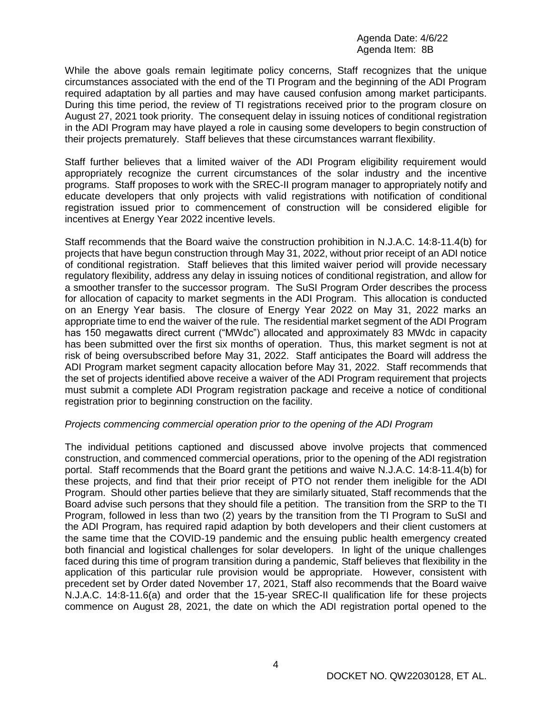Agenda Date: 4/6/22 Agenda Item: 8B

While the above goals remain legitimate policy concerns, Staff recognizes that the unique circumstances associated with the end of the TI Program and the beginning of the ADI Program required adaptation by all parties and may have caused confusion among market participants. During this time period, the review of TI registrations received prior to the program closure on August 27, 2021 took priority. The consequent delay in issuing notices of conditional registration in the ADI Program may have played a role in causing some developers to begin construction of their projects prematurely. Staff believes that these circumstances warrant flexibility.

Staff further believes that a limited waiver of the ADI Program eligibility requirement would appropriately recognize the current circumstances of the solar industry and the incentive programs. Staff proposes to work with the SREC-II program manager to appropriately notify and educate developers that only projects with valid registrations with notification of conditional registration issued prior to commencement of construction will be considered eligible for incentives at Energy Year 2022 incentive levels.

Staff recommends that the Board waive the construction prohibition in N.J.A.C. 14:8-11.4(b) for projects that have begun construction through May 31, 2022, without prior receipt of an ADI notice of conditional registration. Staff believes that this limited waiver period will provide necessary regulatory flexibility, address any delay in issuing notices of conditional registration, and allow for a smoother transfer to the successor program. The SuSI Program Order describes the process for allocation of capacity to market segments in the ADI Program. This allocation is conducted on an Energy Year basis. The closure of Energy Year 2022 on May 31, 2022 marks an appropriate time to end the waiver of the rule. The residential market segment of the ADI Program has 150 megawatts direct current ("MWdc") allocated and approximately 83 MWdc in capacity has been submitted over the first six months of operation. Thus, this market segment is not at risk of being oversubscribed before May 31, 2022. Staff anticipates the Board will address the ADI Program market segment capacity allocation before May 31, 2022. Staff recommends that the set of projects identified above receive a waiver of the ADI Program requirement that projects must submit a complete ADI Program registration package and receive a notice of conditional registration prior to beginning construction on the facility.

#### *Projects commencing commercial operation prior to the opening of the ADI Program*

The individual petitions captioned and discussed above involve projects that commenced construction, and commenced commercial operations, prior to the opening of the ADI registration portal. Staff recommends that the Board grant the petitions and waive N.J.A.C. 14:8-11.4(b) for these projects, and find that their prior receipt of PTO not render them ineligible for the ADI Program. Should other parties believe that they are similarly situated, Staff recommends that the Board advise such persons that they should file a petition. The transition from the SRP to the TI Program, followed in less than two (2) years by the transition from the TI Program to SuSI and the ADI Program, has required rapid adaption by both developers and their client customers at the same time that the COVID-19 pandemic and the ensuing public health emergency created both financial and logistical challenges for solar developers. In light of the unique challenges faced during this time of program transition during a pandemic, Staff believes that flexibility in the application of this particular rule provision would be appropriate. However, consistent with precedent set by Order dated November 17, 2021, Staff also recommends that the Board waive N.J.A.C. 14:8-11.6(a) and order that the 15-year SREC-II qualification life for these projects commence on August 28, 2021, the date on which the ADI registration portal opened to the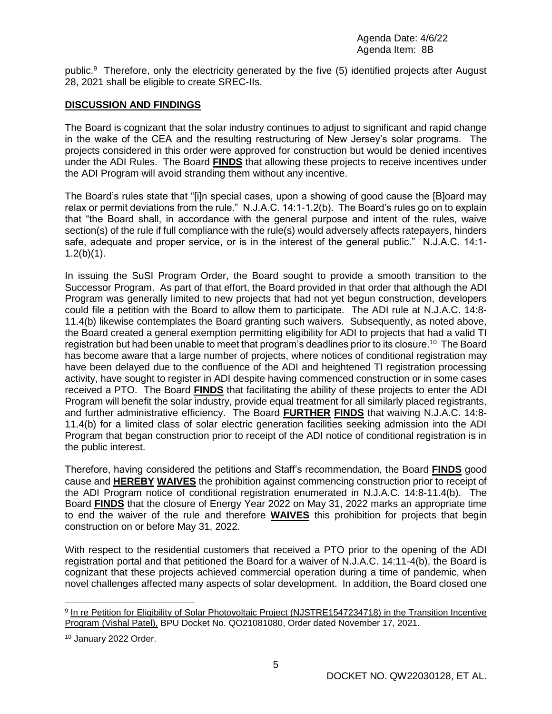public.<sup>9</sup> Therefore, only the electricity generated by the five (5) identified projects after August 28, 2021 shall be eligible to create SREC-IIs.

## **DISCUSSION AND FINDINGS**

The Board is cognizant that the solar industry continues to adjust to significant and rapid change in the wake of the CEA and the resulting restructuring of New Jersey's solar programs. The projects considered in this order were approved for construction but would be denied incentives under the ADI Rules. The Board **FINDS** that allowing these projects to receive incentives under the ADI Program will avoid stranding them without any incentive.

The Board's rules state that "[i]n special cases, upon a showing of good cause the [B]oard may relax or permit deviations from the rule." N.J.A.C. 14:1-1.2(b). The Board's rules go on to explain that "the Board shall, in accordance with the general purpose and intent of the rules, waive section(s) of the rule if full compliance with the rule(s) would adversely affects ratepayers, hinders safe, adequate and proper service, or is in the interest of the general public." N.J.A.C. 14:1-  $1.2(b)(1)$ .

In issuing the SuSI Program Order, the Board sought to provide a smooth transition to the Successor Program. As part of that effort, the Board provided in that order that although the ADI Program was generally limited to new projects that had not yet begun construction, developers could file a petition with the Board to allow them to participate. The ADI rule at N.J.A.C. 14:8- 11.4(b) likewise contemplates the Board granting such waivers. Subsequently, as noted above, the Board created a general exemption permitting eligibility for ADI to projects that had a valid TI registration but had been unable to meet that program's deadlines prior to its closure.<sup>10</sup> The Board has become aware that a large number of projects, where notices of conditional registration may have been delayed due to the confluence of the ADI and heightened TI registration processing activity, have sought to register in ADI despite having commenced construction or in some cases received a PTO. The Board **FINDS** that facilitating the ability of these projects to enter the ADI Program will benefit the solar industry, provide equal treatment for all similarly placed registrants, and further administrative efficiency. The Board **FURTHER FINDS** that waiving N.J.A.C. 14:8- 11.4(b) for a limited class of solar electric generation facilities seeking admission into the ADI Program that began construction prior to receipt of the ADI notice of conditional registration is in the public interest.

Therefore, having considered the petitions and Staff's recommendation, the Board **FINDS** good cause and **HEREBY WAIVES** the prohibition against commencing construction prior to receipt of the ADI Program notice of conditional registration enumerated in N.J.A.C. 14:8-11.4(b). The Board **FINDS** that the closure of Energy Year 2022 on May 31, 2022 marks an appropriate time to end the waiver of the rule and therefore **WAIVES** this prohibition for projects that begin construction on or before May 31, 2022.

With respect to the residential customers that received a PTO prior to the opening of the ADI registration portal and that petitioned the Board for a waiver of N.J.A.C. 14:11-4(b), the Board is cognizant that these projects achieved commercial operation during a time of pandemic, when novel challenges affected many aspects of solar development. In addition, the Board closed one

 $\overline{a}$ 

<sup>&</sup>lt;sup>9</sup> In re Petition for Eligibility of Solar Photovoltaic Project (NJSTRE1547234718) in the Transition Incentive Program (Vishal Patel), BPU Docket No. QO21081080, Order dated November 17, 2021.

<sup>10</sup> January 2022 Order.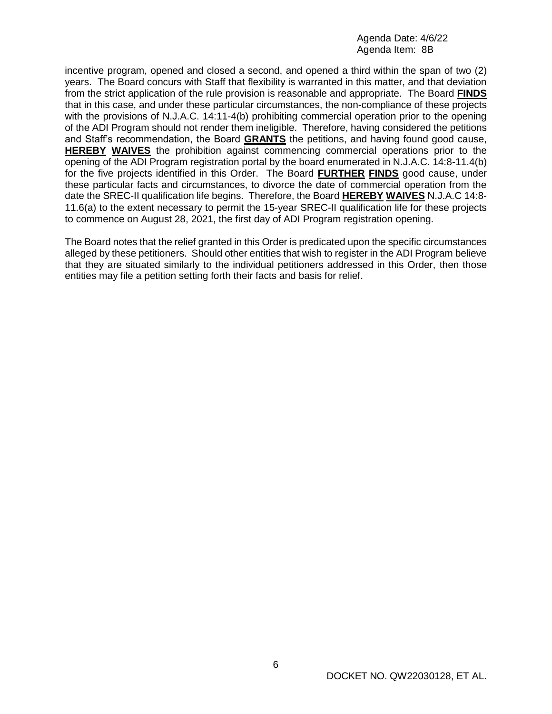Agenda Date: 4/6/22 Agenda Item: 8B

incentive program, opened and closed a second, and opened a third within the span of two (2) years. The Board concurs with Staff that flexibility is warranted in this matter, and that deviation from the strict application of the rule provision is reasonable and appropriate. The Board **FINDS** that in this case, and under these particular circumstances, the non-compliance of these projects with the provisions of N.J.A.C. 14:11-4(b) prohibiting commercial operation prior to the opening of the ADI Program should not render them ineligible. Therefore, having considered the petitions and Staff's recommendation, the Board **GRANTS** the petitions, and having found good cause, **HEREBY WAIVES** the prohibition against commencing commercial operations prior to the opening of the ADI Program registration portal by the board enumerated in N.J.A.C. 14:8-11.4(b) for the five projects identified in this Order. The Board **FURTHER FINDS** good cause, under these particular facts and circumstances, to divorce the date of commercial operation from the date the SREC-II qualification life begins. Therefore, the Board **HEREBY WAIVES** N.J.A.C 14:8- 11.6(a) to the extent necessary to permit the 15-year SREC-II qualification life for these projects to commence on August 28, 2021, the first day of ADI Program registration opening.

The Board notes that the relief granted in this Order is predicated upon the specific circumstances alleged by these petitioners. Should other entities that wish to register in the ADI Program believe that they are situated similarly to the individual petitioners addressed in this Order, then those entities may file a petition setting forth their facts and basis for relief.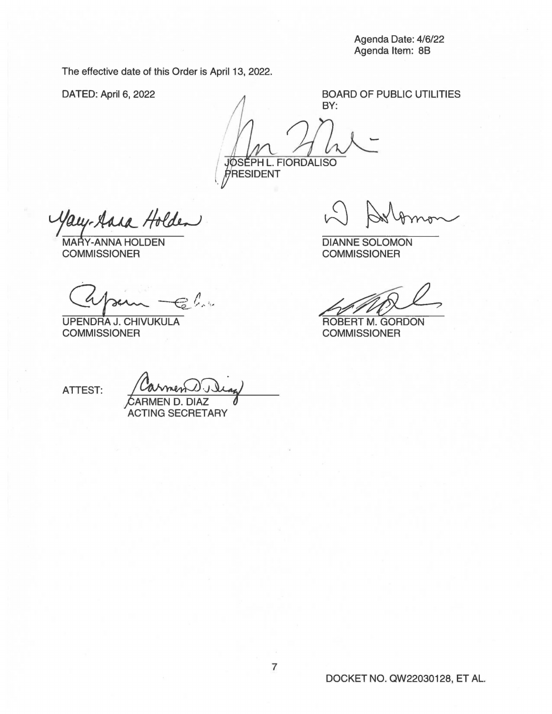Agenda Date: 4/6/22 Agenda Item: 88

The effective date of this Order is April 13, 2022.

DATED: April 6, 2022

BOARD OF PUBLIC UTILITIES BY:

- JØSÉPH L. FIORDALISO PRESIDENT

1aug-Aara Holden<br>MARY-ANNAHOLDEN<br>COMMISSIONER

 $Q$ poin -El.

UPENDRA J. CHIVUKULA **COMMISSIONER** 

DIANNE SOLOMON **COMMISSIONER** 

~~"? ROBERT M. GORDON

**COMMISSIONER** 

ATTEST:

/;ARMEN D. DIAZ

ACTING SECRETARY

DOCKET NO. QW22030128, ET AL.